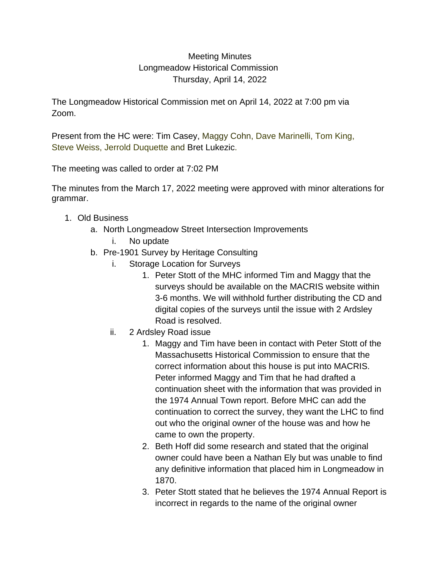## Meeting Minutes Longmeadow Historical Commission Thursday, April 14, 2022

The Longmeadow Historical Commission met on April 14, 2022 at 7:00 pm via Zoom.

Present from the HC were: Tim Casey, Maggy Cohn, Dave Marinelli, Tom King, Steve Weiss, Jerrold Duquette and Bret Lukezic.

The meeting was called to order at 7:02 PM

The minutes from the March 17, 2022 meeting were approved with minor alterations for grammar.

- 1. Old Business
	- a. North Longmeadow Street Intersection Improvements
		- i. No update
	- b. Pre-1901 Survey by Heritage Consulting
		- i. Storage Location for Surveys
			- 1. Peter Stott of the MHC informed Tim and Maggy that the surveys should be available on the MACRIS website within 3-6 months. We will withhold further distributing the CD and digital copies of the surveys until the issue with 2 Ardsley Road is resolved.
		- ii. 2 Ardsley Road issue
			- 1. Maggy and Tim have been in contact with Peter Stott of the Massachusetts Historical Commission to ensure that the correct information about this house is put into MACRIS. Peter informed Maggy and Tim that he had drafted a continuation sheet with the information that was provided in the 1974 Annual Town report. Before MHC can add the continuation to correct the survey, they want the LHC to find out who the original owner of the house was and how he came to own the property.
			- 2. Beth Hoff did some research and stated that the original owner could have been a Nathan Ely but was unable to find any definitive information that placed him in Longmeadow in 1870.
			- 3. Peter Stott stated that he believes the 1974 Annual Report is incorrect in regards to the name of the original owner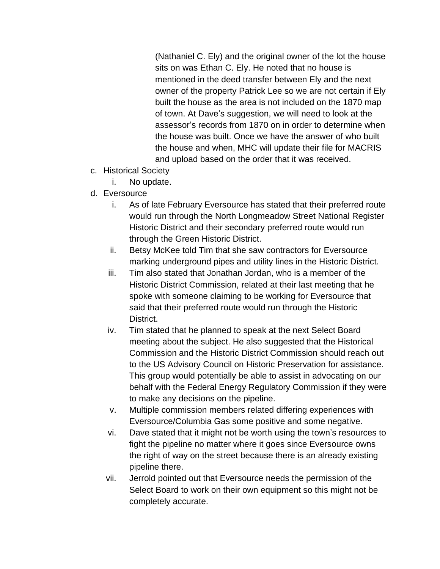(Nathaniel C. Ely) and the original owner of the lot the house sits on was Ethan C. Ely. He noted that no house is mentioned in the deed transfer between Ely and the next owner of the property Patrick Lee so we are not certain if Ely built the house as the area is not included on the 1870 map of town. At Dave's suggestion, we will need to look at the assessor's records from 1870 on in order to determine when the house was built. Once we have the answer of who built the house and when, MHC will update their file for MACRIS and upload based on the order that it was received.

- c. Historical Society
	- i. No update.
- d. Eversource
	- i. As of late February Eversource has stated that their preferred route would run through the North Longmeadow Street National Register Historic District and their secondary preferred route would run through the Green Historic District.
	- ii. Betsy McKee told Tim that she saw contractors for Eversource marking underground pipes and utility lines in the Historic District.
	- iii. Tim also stated that Jonathan Jordan, who is a member of the Historic District Commission, related at their last meeting that he spoke with someone claiming to be working for Eversource that said that their preferred route would run through the Historic District.
	- iv. Tim stated that he planned to speak at the next Select Board meeting about the subject. He also suggested that the Historical Commission and the Historic District Commission should reach out to the US Advisory Council on Historic Preservation for assistance. This group would potentially be able to assist in advocating on our behalf with the Federal Energy Regulatory Commission if they were to make any decisions on the pipeline.
	- v. Multiple commission members related differing experiences with Eversource/Columbia Gas some positive and some negative.
	- vi. Dave stated that it might not be worth using the town's resources to fight the pipeline no matter where it goes since Eversource owns the right of way on the street because there is an already existing pipeline there.
	- vii. Jerrold pointed out that Eversource needs the permission of the Select Board to work on their own equipment so this might not be completely accurate.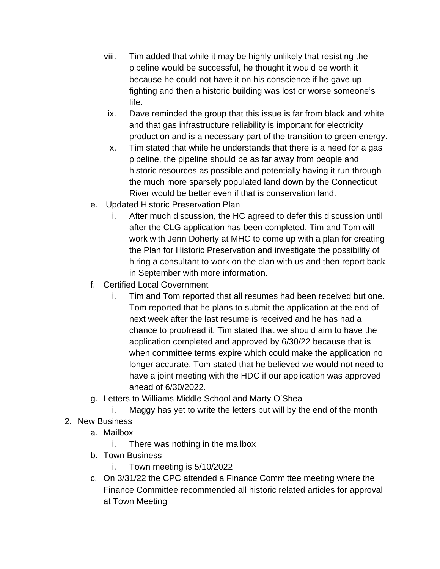- viii. Tim added that while it may be highly unlikely that resisting the pipeline would be successful, he thought it would be worth it because he could not have it on his conscience if he gave up fighting and then a historic building was lost or worse someone's life.
- ix. Dave reminded the group that this issue is far from black and white and that gas infrastructure reliability is important for electricity production and is a necessary part of the transition to green energy.
- x. Tim stated that while he understands that there is a need for a gas pipeline, the pipeline should be as far away from people and historic resources as possible and potentially having it run through the much more sparsely populated land down by the Connecticut River would be better even if that is conservation land.
- e. Updated Historic Preservation Plan
	- i. After much discussion, the HC agreed to defer this discussion until after the CLG application has been completed. Tim and Tom will work with Jenn Doherty at MHC to come up with a plan for creating the Plan for Historic Preservation and investigate the possibility of hiring a consultant to work on the plan with us and then report back in September with more information.
- f. Certified Local Government
	- i. Tim and Tom reported that all resumes had been received but one. Tom reported that he plans to submit the application at the end of next week after the last resume is received and he has had a chance to proofread it. Tim stated that we should aim to have the application completed and approved by 6/30/22 because that is when committee terms expire which could make the application no longer accurate. Tom stated that he believed we would not need to have a joint meeting with the HDC if our application was approved ahead of 6/30/2022.
- g. Letters to Williams Middle School and Marty O'Shea

i. Maggy has yet to write the letters but will by the end of the month

- 2. New Business
	- a. Mailbox
		- i. There was nothing in the mailbox
	- b. Town Business
		- i. Town meeting is 5/10/2022
	- c. On 3/31/22 the CPC attended a Finance Committee meeting where the Finance Committee recommended all historic related articles for approval at Town Meeting